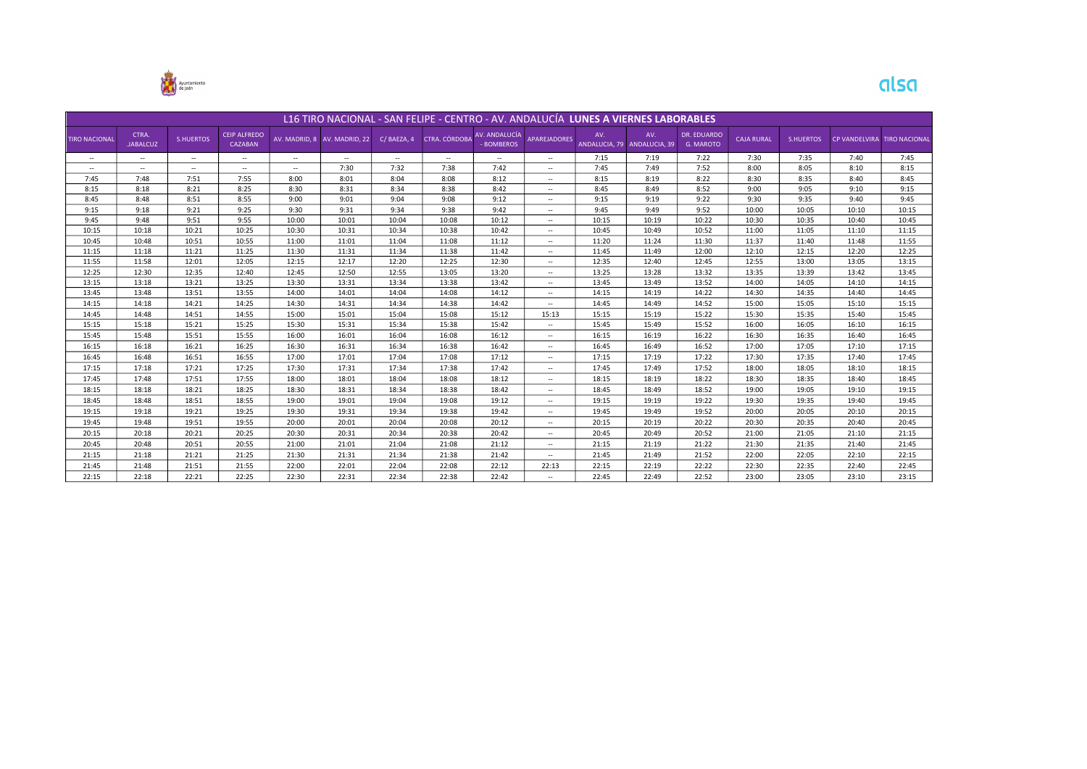

| L16 TIRO NACIONAL - SAN FELIPE - CENTRO - AV. ANDALUCÍA LUNES A VIERNES LABORABLES |                          |                  |                                |        |                              |                          |               |                                  |                          |                      |                      |                          |                   |                  |       |                             |
|------------------------------------------------------------------------------------|--------------------------|------------------|--------------------------------|--------|------------------------------|--------------------------|---------------|----------------------------------|--------------------------|----------------------|----------------------|--------------------------|-------------------|------------------|-------|-----------------------------|
| <b>TIRO NACIONAL</b>                                                               | CTRA.<br><b>JABALCUZ</b> | <b>S.HUERTOS</b> | <b>CEIP ALFREDO</b><br>CAZABAN |        | AV. MADRID. 8 AV. MADRID. 22 | C/BAEZA, 4               | CTRA, CÓRDOBA | AV. ANDALUCÍA<br><b>BOMBEROS</b> | <b>APAREJADORES</b>      | AV.<br>ANDALUCIA, 79 | AV.<br>ANDALUCIA, 39 | DR. EDUARDO<br>G. MAROTO | <b>CAJA RURAL</b> | <b>S.HUERTOS</b> |       | CP VANDELVIRA TIRO NACIONAL |
| $\sim$                                                                             | $\sim$                   | $\sim$           | $\sim$                         | $\sim$ | $\sim$                       | $\overline{\phantom{a}}$ | $\sim$        | $\overline{\phantom{a}}$         | $\sim$                   | 7:15                 | 7:19                 | 7:22                     | 7:30              | 7:35             | 7:40  | 7:45                        |
| $\sim$                                                                             | $\sim$                   | $\sim$           | $\sim$                         | $\sim$ | 7:30                         | 7:32                     | 7:38          | 7:42                             | $\sim$                   | 7:45                 | 7:49                 | 7:52                     | 8:00              | 8:05             | 8:10  | 8:15                        |
| 7:45                                                                               | 7:48                     | 7:51             | 7:55                           | 8:00   | 8:01                         | 8:04                     | 8:08          | 8:12                             | $\sim$                   | 8:15                 | 8:19                 | 8:22                     | 8:30              | 8:35             | 8:40  | 8:45                        |
| 8:15                                                                               | 8:18                     | 8:21             | 8:25                           | 8:30   | 8:31                         | 8:34                     | 8:38          | 8:42                             | $\overline{\phantom{a}}$ | 8:45                 | 8:49                 | 8:52                     | 9:00              | 9:05             | 9:10  | 9:15                        |
| 8:45                                                                               | 8:48                     | 8:51             | 8:55                           | 9:00   | 9:01                         | 9:04                     | 9:08          | 9:12                             | $\overline{\phantom{a}}$ | 9:15                 | 9:19                 | 9:22                     | 9:30              | 9:35             | 9:40  | 9:45                        |
| 9:15                                                                               | 9:18                     | 9:21             | 9:25                           | 9:30   | 9:31                         | 9:34                     | 9:38          | 9:42                             | $\sim$                   | 9:45                 | 9:49                 | 9:52                     | 10:00             | 10:05            | 10:10 | 10:15                       |
| 9:45                                                                               | 9:48                     | 9:51             | 9:55                           | 10:00  | 10:01                        | 10:04                    | 10:08         | 10:12                            | $\overline{\phantom{a}}$ | 10:15                | 10:19                | 10:22                    | 10:30             | 10:35            | 10:40 | 10:45                       |
| 10:15                                                                              | 10:18                    | 10:21            | 10:25                          | 10:30  | 10:31                        | 10:34                    | 10:38         | 10:42                            | $\overline{\phantom{a}}$ | 10:45                | 10:49                | 10:52                    | 11:00             | 11:05            | 11:10 | 11:15                       |
| 10:45                                                                              | 10:48                    | 10:51            | 10:55                          | 11:00  | 11:01                        | 11:04                    | 11:08         | 11:12                            | $\overline{\phantom{a}}$ | 11:20                | 11:24                | 11:30                    | 11:37             | 11:40            | 11:48 | 11:55                       |
| 11:15                                                                              | 11:18                    | 11:21            | 11:25                          | 11:30  | 11:31                        | 11:34                    | 11:38         | 11:42                            | $\overline{\phantom{a}}$ | 11:45                | 11:49                | 12:00                    | 12:10             | 12:15            | 12:20 | 12:25                       |
| 11:55                                                                              | 11:58                    | 12:01            | 12:05                          | 12:15  | 12:17                        | 12:20                    | 12:25         | 12:30                            | $\sim$                   | 12:35                | 12:40                | 12:45                    | 12:55             | 13:00            | 13:05 | 13:15                       |
| 12:25                                                                              | 12:30                    | 12:35            | 12:40                          | 12:45  | 12:50                        | 12:55                    | 13:05         | 13:20                            | $\overline{\phantom{a}}$ | 13:25                | 13:28                | 13:32                    | 13:35             | 13:39            | 13:42 | 13:45                       |
| 13:15                                                                              | 13:18                    | 13:21            | 13:25                          | 13:30  | 13:31                        | 13:34                    | 13:38         | 13:42                            | $\overline{\phantom{a}}$ | 13:45                | 13:49                | 13:52                    | 14:00             | 14:05            | 14:10 | 14:15                       |
| 13:45                                                                              | 13:48                    | 13:51            | 13:55                          | 14:00  | 14:01                        | 14:04                    | 14:08         | 14:12                            | $\overline{\phantom{a}}$ | 14:15                | 14:19                | 14:22                    | 14:30             | 14:35            | 14:40 | 14:45                       |
| 14:15                                                                              | 14:18                    | 14:21            | 14:25                          | 14:30  | 14:31                        | 14:34                    | 14:38         | 14:42                            | $\overline{\phantom{a}}$ | 14:45                | 14:49                | 14:52                    | 15:00             | 15:05            | 15:10 | 15:15                       |
| 14:45                                                                              | 14:48                    | 14:51            | 14:55                          | 15:00  | 15:01                        | 15:04                    | 15:08         | 15:12                            | 15:13                    | 15:15                | 15:19                | 15:22                    | 15:30             | 15:35            | 15:40 | 15:45                       |
| 15:15                                                                              | 15:18                    | 15:21            | 15:25                          | 15:30  | 15:31                        | 15:34                    | 15:38         | 15:42                            | $\sim$                   | 15:45                | 15:49                | 15:52                    | 16:00             | 16:05            | 16:10 | 16:15                       |
| 15:45                                                                              | 15:48                    | 15:51            | 15:55                          | 16:00  | 16:01                        | 16:04                    | 16:08         | 16:12                            | $\sim$                   | 16:15                | 16:19                | 16:22                    | 16:30             | 16:35            | 16:40 | 16:45                       |
| 16:15                                                                              | 16:18                    | 16:21            | 16:25                          | 16:30  | 16:31                        | 16:34                    | 16:38         | 16:42                            | $\overline{\phantom{a}}$ | 16:45                | 16:49                | 16:52                    | 17:00             | 17:05            | 17:10 | 17:15                       |
| 16:45                                                                              | 16:48                    | 16:51            | 16:55                          | 17:00  | 17:01                        | 17:04                    | 17:08         | 17:12                            | $\overline{\phantom{a}}$ | 17:15                | 17:19                | 17:22                    | 17:30             | 17:35            | 17:40 | 17:45                       |
| 17:15                                                                              | 17:18                    | 17:21            | 17:25                          | 17:30  | 17:31                        | 17:34                    | 17:38         | 17:42                            | $\sim$                   | 17:45                | 17:49                | 17:52                    | 18:00             | 18:05            | 18:10 | 18:15                       |
| 17:45                                                                              | 17:48                    | 17:51            | 17:55                          | 18:00  | 18:01                        | 18:04                    | 18:08         | 18:12                            | $\overline{\phantom{a}}$ | 18:15                | 18:19                | 18:22                    | 18:30             | 18:35            | 18:40 | 18:45                       |
| 18:15                                                                              | 18:18                    | 18:21            | 18:25                          | 18:30  | 18:31                        | 18:34                    | 18:38         | 18:42                            | $\overline{\phantom{a}}$ | 18:45                | 18:49                | 18:52                    | 19:00             | 19:05            | 19:10 | 19:15                       |
| 18:45                                                                              | 18:48                    | 18:51            | 18:55                          | 19:00  | 19:01                        | 19:04                    | 19:08         | 19:12                            | $\overline{\phantom{a}}$ | 19:15                | 19:19                | 19:22                    | 19:30             | 19:35            | 19:40 | 19:45                       |
| 19:15                                                                              | 19:18                    | 19:21            | 19:25                          | 19:30  | 19:31                        | 19:34                    | 19:38         | 19:42                            | $\overline{\phantom{a}}$ | 19:45                | 19:49                | 19:52                    | 20:00             | 20:05            | 20:10 | 20:15                       |
| 19:45                                                                              | 19:48                    | 19:51            | 19:55                          | 20:00  | 20:01                        | 20:04                    | 20:08         | 20:12                            | $\sim$                   | 20:15                | 20:19                | 20:22                    | 20:30             | 20:35            | 20:40 | 20:45                       |
| 20:15                                                                              | 20:18                    | 20:21            | 20:25                          | 20:30  | 20:31                        | 20:34                    | 20:38         | 20:42                            | $\sim$                   | 20:45                | 20:49                | 20:52                    | 21:00             | 21:05            | 21:10 | 21:15                       |
| 20:45                                                                              | 20:48                    | 20:51            | 20:55                          | 21:00  | 21:01                        | 21:04                    | 21:08         | 21:12                            | $\overline{\phantom{a}}$ | 21:15                | 21:19                | 21:22                    | 21:30             | 21:35            | 21:40 | 21:45                       |
| 21:15                                                                              | 21:18                    | 21:21            | 21:25                          | 21:30  | 21:31                        | 21:34                    | 21:38         | 21:42                            | $\overline{\phantom{a}}$ | 21:45                | 21:49                | 21:52                    | 22:00             | 22:05            | 22:10 | 22:15                       |
| 21:45                                                                              | 21:48                    | 21:51            | 21:55                          | 22:00  | 22:01                        | 22:04                    | 22:08         | 22:12                            | 22:13                    | 22:15                | 22:19                | 22:22                    | 22:30             | 22:35            | 22:40 | 22:45                       |
| 22:15                                                                              | 22:18                    | 22:21            | 22:25                          | 22:30  | 22:31                        | 22:34                    | 22:38         | 22:42                            | $\overline{\phantom{a}}$ | 22:45                | 22:49                | 22:52                    | 23:00             | 23:05            | 23:10 | 23:15                       |

alsa